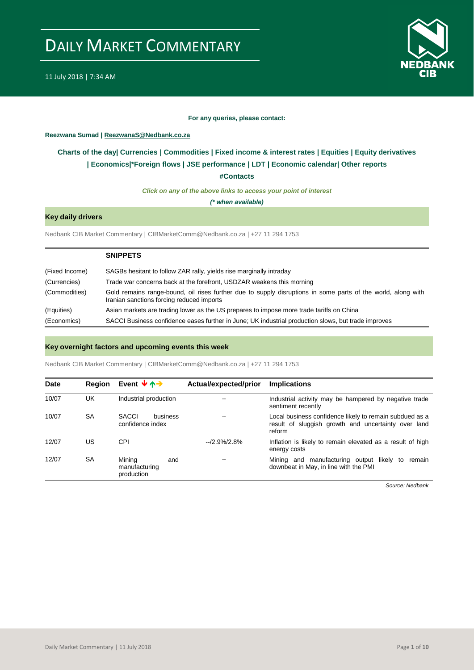

#### **For any queries, please contact:**

#### <span id="page-0-0"></span>**Reezwana Sumad | ReezwanaS@Nedbank.co.za**

### **Charts of the day| [Currencies](#page-2-0) [| Commodities](#page-3-0) | [Fixed income & interest rates](#page-1-0) | [Equities](#page-4-0) | Equity derivatives | [Economics|\\*](#page-6-0)Foreign flows [| JSE performance](#page-4-1) | LDT | [Economic calendar|](#page-7-0) Other reports**

**[#Contacts](#page-8-0)**

*Click on any of the above links to access your point of interest*

*(\* when available)*

#### **Key daily drivers**

Nedbank CIB Market Commentary | CIBMarketComm@Nedbank.co.za | +27 11 294 1753

|                | <b>SNIPPETS</b>                                                                                                                                           |
|----------------|-----------------------------------------------------------------------------------------------------------------------------------------------------------|
| (Fixed Income) | SAGBs hesitant to follow ZAR rally, yields rise marginally intraday                                                                                       |
| (Currencies)   | Trade war concerns back at the forefront, USDZAR weakens this morning                                                                                     |
| (Commodities)  | Gold remains range-bound, oil rises further due to supply disruptions in some parts of the world, along with<br>Iranian sanctions forcing reduced imports |
| (Equities)     | Asian markets are trading lower as the US prepares to impose more trade tariffs on China                                                                  |
| (Economics)    | SACCI Business confidence eases further in June; UK industrial production slows, but trade improves                                                       |

#### **Key overnight factors and upcoming events this week**

Nedbank CIB Market Commentary | CIBMarketComm@Nedbank.co.za | +27 11 294 1753

| <b>Date</b> | Region    | Event $\forall \uparrow \rightarrow$         | Actual/expected/prior    | <b>Implications</b>                                                                                                      |
|-------------|-----------|----------------------------------------------|--------------------------|--------------------------------------------------------------------------------------------------------------------------|
| 10/07       | UK        | Industrial production                        | $\qquad \qquad -$        | Industrial activity may be hampered by negative trade<br>sentiment recently                                              |
| 10/07       | <b>SA</b> | <b>SACCI</b><br>business<br>confidence index | $- -$                    | Local business confidence likely to remain subdued as a<br>result of sluggish growth and uncertainty over land<br>reform |
| 12/07       | US        | CPI                                          | $-2.9%2.8%$              | Inflation is likely to remain elevated as a result of high<br>energy costs                                               |
| 12/07       | <b>SA</b> | Mining<br>and<br>manufacturing<br>production | $\overline{\phantom{a}}$ | Mining and manufacturing output likely to<br>remain<br>downbeat in May, in line with the PMI                             |

*Source: Nedbank*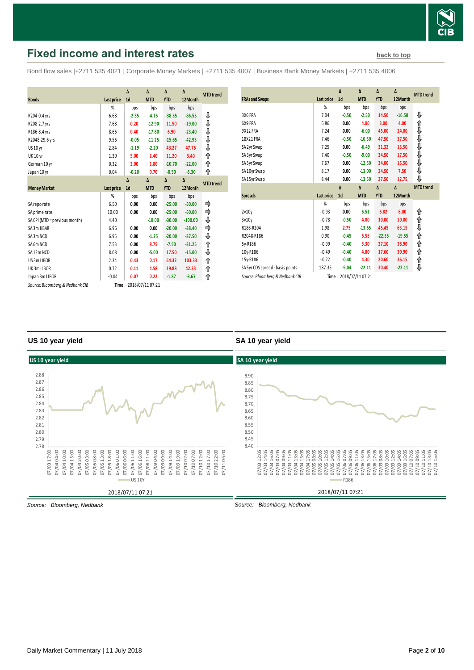

# <span id="page-1-0"></span>**Fixed income and interest rates [back to top](#page-0-0) back to top**

Bond flow sales |+2711 535 4021 | Corporate Money Markets | +2711 535 4007 | Business Bank Money Markets | +2711 535 4006

|                                 |                   | Δ              | Δ                | $\Delta$   | Δ         |                  |
|---------------------------------|-------------------|----------------|------------------|------------|-----------|------------------|
| <b>Bonds</b>                    | Last price        | 1 <sub>d</sub> | <b>MTD</b>       | <b>YTD</b> | 12Month   | <b>MTD</b> trend |
|                                 |                   |                |                  |            |           |                  |
|                                 | %                 | bps            | bps              | bps        | bps       |                  |
| R204-0.4 yrs                    | 6.68              | $-2.35$        | $-4.15$          | $-38.55$   | $-86.55$  | ⊕                |
| R208-2.7 yrs                    | 7.68              | 0.20           | $-12.90$         | 11.50      | $-19.00$  | ⇓                |
| R186-8.4 yrs                    | 8.66              | 0.40           | $-17.80$         | 6.90       | $-23.40$  | ⇓                |
| R2048-29.6 yrs                  | 9.56              | $-0.05$        | $-11.25$         | $-15.65$   | $-42.95$  | ⇓                |
| <b>US 10 yr</b>                 | 2.84              | $-1.19$        | $-2.20$          | 43.27      | 47.76     | ⊕                |
| <b>UK 10 yr</b>                 | 1.30              | 5.00           | 2.40             | 11.20      | 3.40      | ⇑                |
| German 10 yr                    | 0.32              | 2.00           | 1.80             | $-10.70$   | $-22.00$  | ↑                |
| Japan 10 yr                     | 0.04              | $-0.20$        | 0.70             | $-0.50$    | $-5.30$   | ⇑                |
|                                 |                   | $\Lambda$      | $\Delta$         | Δ          | Δ         | <b>MTD</b> trend |
| <b>Money Market</b>             | <b>Last price</b> | 1 <sub>d</sub> | <b>MTD</b>       | <b>YTD</b> | 12Month   |                  |
|                                 | %                 | bps            | bps              | bps        | bps       |                  |
| SA reporate                     | 6.50              | 0.00           | 0.00             | $-25.00$   | $-50.00$  |                  |
| SA prime rate                   | 10.00             | 0.00           | 0.00             | $-25.00$   | $-50.00$  | ⇛                |
| SA CPI (MTD = previous month)   | 4.40              |                | $-10.00$         | $-30.00$   | $-100.00$ | ⇓                |
| SA 3m JIBAR                     | 6.96              | 0.00           | 0.00             | $-20.00$   | $-38.40$  | ⇛                |
| SA3m NCD                        | 6.95              | 0.00           | $-1.25$          | $-20.00$   | $-37.50$  | ⇓                |
| SA6m NCD                        | 7.53              | 0.00           | 8.75             | $-7.50$    | $-31.25$  | ↟                |
| SA12m NCD                       | 8.08              | 0.00           | $-5.00$          | 17.50      | $-15.00$  | ⇓                |
| US 3m LIBOR                     | 2.34              | 0.43           | 0.17             | 64.32      | 103.33    | ⇑                |
| UK3mLIBOR                       | 0.72              | 0.11           | 4.58             | 19.88      | 42.33     | ↟                |
| Japan 3m LIBOR                  | $-0.04$           | 0.07           | 0.22             | $-1.87$    | $-3.67$   | ⇑                |
| Source: Bloomberg & Nedbank CIB | Time              |                | 2018/07/11 07:21 |            |           |                  |

| <b>FRAs and Swaps</b>            | Last price | Δ<br>1 <sub>d</sub> | Δ<br><b>MTD</b> | Δ<br><b>YTD</b> | Δ<br>12Month | <b>MTD</b> trend |
|----------------------------------|------------|---------------------|-----------------|-----------------|--------------|------------------|
|                                  | %          | bps                 | bps             | bps             | bps          |                  |
| 3X6 FRA                          | 7.04       | $-0.50$             | $-2.50$         | 14.50           | $-16.50$     | ⊕                |
| 6X9 FRA                          | 6.86       | 0.00                | 4.00            | 3.00            | 4.00         | ⇑                |
| 9X12 FRA                         | 7.24       | 0.00                | $-6.00$         | 45.00           | 24.00        | ⇓                |
| 18X21 FRA                        | 7.46       | $-0.50$             | $-10.50$        | 47.50           | 37.50        |                  |
| SA 2yr Swap                      | 7.25       | 0.00                | $-6.49$         | 31.32           | 13.50        | 介介介介介            |
| SA 3yr Swap                      | 7.40       | $-0.50$             | $-9.00$         | 34.50           | 17.50        |                  |
| SA 5yr Swap                      | 7.67       | 0.00                | $-12.50$        | 34.00           | 15.50        |                  |
| SA 10yr Swap                     | 8.17       | 0.00                | $-13.00$        | 24.50           | 7.50         |                  |
| SA 15yr Swap                     | 8.44       | 0.00                | $-13.50$        | 27.50           | 12.75        | ⊕                |
|                                  |            |                     |                 |                 |              |                  |
|                                  |            | $\Delta$            | $\Delta$        | Δ               | $\Delta$     | <b>MTD</b> trend |
| <b>Spreads</b>                   | Last price | 1 <sub>d</sub>      | <b>MTD</b>      | <b>YTD</b>      | 12Month      |                  |
|                                  | %          | bps                 | bps             | bps             | bps          |                  |
| 2v10v                            | $-0.93$    | 0.00                | 6.51            | 6.82            | 6.00         | ⇑                |
| 3v10v                            | $-0.78$    | $-0.50$             | 4.00            | 10.00           | 10.00        |                  |
| R186-R204                        | 1.98       | 2.75                | $-13.65$        | 45.45           | 63.15        | ⇑                |
| R2048-R186                       | 0.90       | $-0.45$             | 6.55            | $-22.55$        | $-19.55$     | ⇓                |
| 5y-R186                          | $-0.99$    | $-0.40$             | 5.30            | 27.10           | 38.90        | ⇑                |
| 10y-R186                         | $-0.49$    | $-0.40$             | 4.80            | 17.60           | 30.90        | ⇑                |
| 15y-R186                         | $-0.22$    | $-0.40$             | 4.30            | 20.60           | 36.15        | ⇑<br>⇑           |
| SA 5yr CDS spread - basis points | 187.35     | $-9.04$             | $-22.11$        | 30.40           | $-22.11$     | ⊕                |

#### **US 10 year yield**

#### **SA 10 year yield**



*Source: Bloomberg, Nedbank*

*Source: Bloomberg, Nedbank*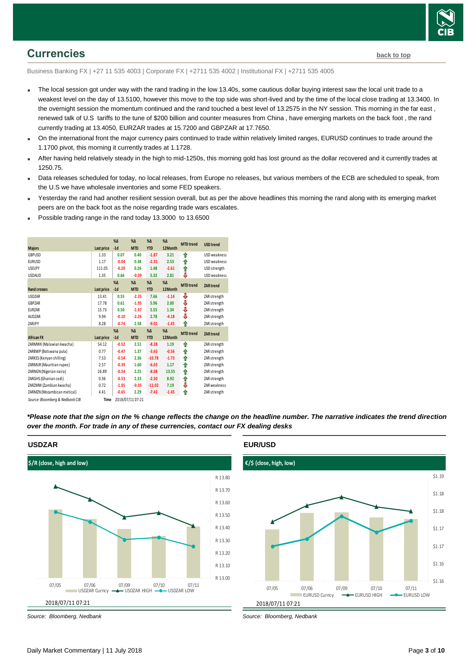

### <span id="page-2-0"></span>**Currencies [back to top](#page-0-0)**

Business Banking FX | +27 11 535 4003 | Corporate FX | +2711 535 4002 | Institutional FX | +2711 535 4005

- The local session got under way with the rand trading in the low 13.40s, some cautious dollar buying interest saw the local unit trade to a weakest level on the day of 13.5100, however this move to the top side was short-lived and by the time of the local close trading at 13.3400. In the overnight session the momentum continued and the rand touched a best level of 13.2575 in the NY session. This morning in the far east, renewed talk of U.S tariffs to the tune of \$200 billion and counter measures from China , have emerging markets on the back foot , the rand currently trading at 13.4050, EURZAR trades at 15.7200 and GBPZAR at 17.7650.
- On the international front the major currency pairs continued to trade within relatively limited ranges, EURUSD continues to trade around the 1.1700 pivot, this morning it currently trades at 1.1728.
- After having held relatively steady in the high to mid-1250s, this morning gold has lost ground as the dollar recovered and it currently trades at 1250.75.
- Data releases scheduled for today, no local releases, from Europe no releases, but various members of the ECB are scheduled to speak, from the U.S we have wholesale inventories and some FED speakers.
- Yesterday the rand had another resilient session overall, but as per the above headlines this morning the rand along with its emerging market peers are on the back foot as the noise regarding trade wars escalates.
- Possible trading range in the rand today 13.3000 to 13.6500

|                                 |                   | $% \Delta$ | $% \Delta$       | $% \Delta$  | $% \Lambda$ | <b>MTD</b> trend | <b>USD</b> trend |
|---------------------------------|-------------------|------------|------------------|-------------|-------------|------------------|------------------|
| <b>Majors</b>                   | <b>Last price</b> | $-1d$      | <b>MTD</b>       | <b>YTD</b>  | 12Month     |                  |                  |
| GBPUSD                          | 1.33              | 0.07       | 0.40             | $-1.87$     | 3.21        | ⇑                | USD weakness     |
| <b>EURUSD</b>                   | 1.17              | $-0.04$    | 0.38             | $-2.31$     | 2.53        | ⇑                | USD weakness     |
| <b>USDJPY</b>                   | 111.05            | $-0.20$    | 0.26             | 1.48        | $-2.61$     | ⇑                | USD strength     |
| <b>USDAUD</b>                   | 1.35              | 0.66       | $-0.09$          | 5.32        | 2.81        | ⇩                | USD weakness     |
|                                 |                   | $% \Delta$ | $% \Delta$       | $% \Delta$  | $% \Delta$  | <b>MTD</b> trend | <b>ZAR</b> trend |
| <b>Rand crosses</b>             | <b>Last price</b> | $-1d$      | <b>MTD</b>       | <b>YTD</b>  | 12Month     |                  |                  |
| <b>USDZAR</b>                   | 13.41             | 0.55       | $-2.35$          | 7.66        | $-1.14$     | ⊕                | ZAR strength     |
| GBPZAR                          | 17.78             | 0.61       | $-1.95$          | 5.96        | 2.00        | ⊕                | ZAR strength     |
| <b>EURZAR</b>                   | 15.73             | 0.50       | $-1.97$          | 5.55        | 1.34        | ⇩                | ZAR strength     |
| <b>AUDZAR</b>                   | 9.94              | $-0.10$    | $-2.26$          | 2.78        | $-4.18$     | ⊕                | ZAR strength     |
| ZARJPY                          | 8.28              | $-0.74$    | 2.58             | $-9.01$     | $-1.45$     | ⇑                | ZAR strength     |
|                                 |                   | $% \Delta$ | $% \Lambda$      | $% \Lambda$ | $% \Lambda$ | <b>MTD</b> trend | <b>ZAR</b> trend |
| <b>African FX</b>               | Last price        | $-1d$      | <b>MTD</b>       | <b>YTD</b>  | 12Month     |                  |                  |
| ZARMWK (Malawian kwacha)        | 54.12             | $-0.52$    | 2.51             | $-8.28$     | 1.19        | ⇑                | ZAR strength     |
| ZARBWP (Botswana pula)          | 0.77              | $-0.47$    | 1.37             | $-3.63$     | $-0.56$     | ⇑                | ZAR strength     |
| ZARKES (Kenyan shilling)        | 7.53              | $-0.54$    | 2.36             | $-10.78$    | $-1.73$     | ⇑                | ZAR strength     |
| ZARMUR (Mauritian rupee)        | 2.57              | $-0.39$    | 1.60             | $-6.03$     | 1.17        | ⇑                | ZAR strength     |
| ZARNGN (Nigerian naira)         | 26.89             | $-0.54$    | 2.25             | $-8.08$     | 13.55       | ⇑                | ZAR strength     |
| ZARGHS (Ghanian cedi)           | 0.36              | $-0.53$    | 2.33             | $-2.50$     | 8.92        | ⇑                | ZAR strength     |
| ZARZMW (Zambian kwacha)         | 0.72              | $-1.05$    | $-0.35$          | $-11.02$    | 7.19        | ⊕                | ZAR weakness     |
| ZARMZN (Mozambican metical)     | 4.41              | $-0.65$    | 2.29             | $-7.43$     | $-1.45$     | ⇑                | ZAR strength     |
| Source: Bloomberg & Nedbank CIB | Time              |            | 2018/07/11 07:21 |             |             |                  |                  |

*\*Please note that the sign on the % change reflects the change on the headline number. The narrative indicates the trend direction over the month. For trade in any of these currencies, contact our FX dealing desks*



*Source: Bloomberg, Nedbank*





*Source: Bloomberg, Nedbank*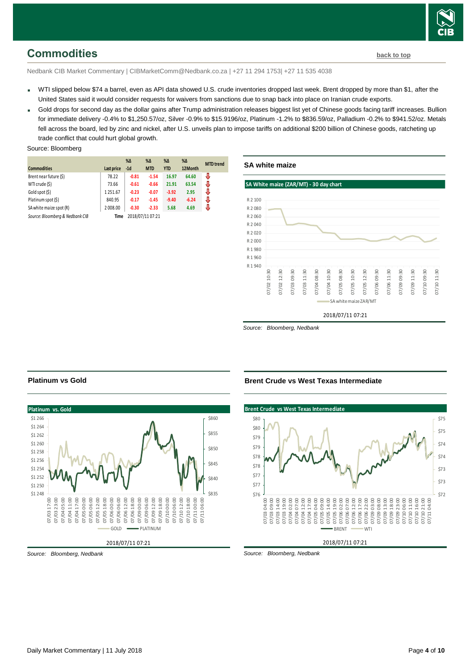

## <span id="page-3-0"></span>**Commodities [back to top](#page-0-0)**

Nedbank CIB Market Commentary | CIBMarketComm@Nedbank.co.za | +27 11 294 1753| +27 11 535 4038

- WTI slipped below \$74 a barrel, even as API data showed U.S. crude inventories dropped last week. Brent dropped by more than \$1, after the United States said it would consider requests for waivers from sanctions due to snap back into place on Iranian crude exports.
- Gold drops for second day as the dollar gains after Trump administration releases biggest list yet of Chinese goods facing tariff increases. Bullion for immediate delivery -0.4% to \$1,250.57/oz, Silver -0.9% to \$15.9196/oz, Platinum -1.2% to \$836.59/oz, Palladium -0.2% to \$941.52/oz. Metals fell across the board, led by zinc and nickel, after U.S. unveils plan to impose tariffs on additional \$200 billion of Chinese goods, ratcheting up trade conflict that could hurt global growth.

#### Source: Bloomberg

|                                 |            | $% \Delta$ | $% \Delta$       | %Δ         | $% \Delta$ | <b>MTD</b> trend |
|---------------------------------|------------|------------|------------------|------------|------------|------------------|
| <b>Commodities</b>              | Last price | $-1d$      | <b>MTD</b>       | <b>YTD</b> | 12Month    |                  |
| Brent near future (\$)          | 78.22      | $-0.81$    | $-1.54$          | 16.97      | 64.60      | J                |
| WTI crude (\$)                  | 73.66      | $-0.61$    | $-0.66$          | 21.91      | 63.54      | J                |
| Gold spot (\$)                  | 1251.67    | $-0.23$    | $-0.07$          | $-3.92$    | 2.95       | J                |
| Platinum spot (\$)              | 840.95     | $-0.17$    | $-1.45$          | $-9.40$    | $-6.24$    | J                |
| SA white maize spot (R)         | 2008.00    | $-0.30$    | $-2.33$          | 5.68       | 4.69       | J                |
| Source: Bloomberg & Nedbank CIB | Time       |            | 2018/07/11 07:21 |            |            |                  |



*Source: Bloomberg, Nedbank*

#### **Platinum vs Gold**



*Source: Bloomberg, Nedbank*

#### **Brent Crude vs West Texas Intermediate**



*Source: Bloomberg, Nedbank*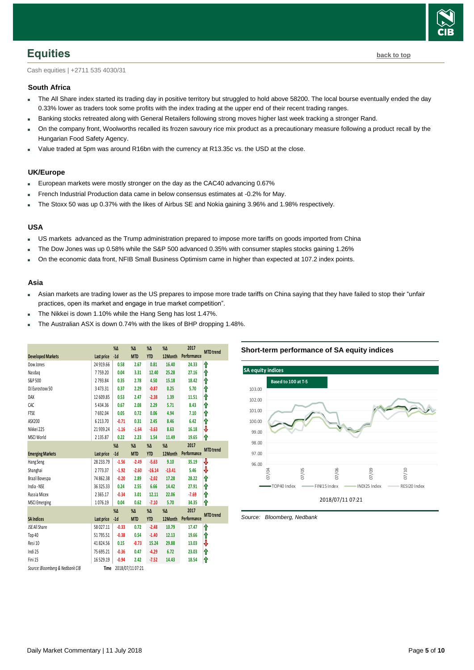

# <span id="page-4-0"></span>**Equities [back to top](#page-0-0)**

Cash equities | +2711 535 4030/31

#### **South Africa**

- The All Share index started its trading day in positive territory but struggled to hold above 58200. The local bourse eventually ended the day 0.33% lower as traders took some profits with the index trading at the upper end of their recent trading ranges.
- Banking stocks retreated along with General Retailers following strong moves higher last week tracking a stronger Rand.
- On the company front, Woolworths recalled its frozen savoury rice mix product as a precautionary measure following a product recall by the Hungarian Food Safety Agency.
- Value traded at 5pm was around R16bn with the currency at R13.35c vs. the USD at the close.

#### **UK/Europe**

- European markets were mostly stronger on the day as the CAC40 advancing 0.67%
- French Industrial Production data came in below consensus estimates at -0.2% for May.
- The Stoxx 50 was up 0.37% with the likes of Airbus SE and Nokia gaining 3.96% and 1.98% respectively.

#### **USA**

- US markets advanced as the Trump administration prepared to impose more tariffs on goods imported from China
- The Dow Jones was up 0.58% while the S&P 500 advanced 0.35% with consumer staples stocks gaining 1.26%
- On the economic data front, NFIB Small Business Optimism came in higher than expected at 107.2 index points.

#### **Asia**

- Asian markets are trading lower as the US prepares to impose more trade tariffs on China saying that they have failed to stop their "unfair practices, open its market and engage in true market competition".
- The Nikkei is down 1.10% while the Hang Seng has lost 1.47%.
- The Australian ASX is down 0.74% with the likes of BHP dropping 1.48%.

|                                 |               | $% \Delta$ | $% \Delta$       | $% \Delta$    | $% \Delta$    | 2017        |                  |
|---------------------------------|---------------|------------|------------------|---------------|---------------|-------------|------------------|
| <b>Developed Markets</b>        | Last price    | $-1d$      | <b>MTD</b>       | <b>YTD</b>    | 12Month       | Performance | <b>MTD</b> trend |
| Dow Jones                       | 24 919.66     | 0.58       | 2.67             | 0.81          | 16.40         | 24.33       | ⇑                |
| Nasdaq                          | 7759.20       | 0.04       | 3.31             | 12.40         | 25.28         | 27.16       | ⇑                |
|                                 |               |            |                  |               |               |             |                  |
| S&P 500                         | 2793.84       | 0.35       | 2.78             | 4.50          | 15.18         | 18.42       | ⇑                |
| DJ Eurostoxx 50                 | 3473.31       | 0.37       | 2.29             | $-0.87$       | 0.25          | 5.70        | 合                |
| DAX                             | 12 609.85     | 0.53       | 2.47             | $-2.38$       | 1.39          | 11.51       | 合                |
| CAC                             | 5434.36       | 0.67       | 2.08             | 2.29          | 5.71          | 8.43        | ⇑                |
| <b>FTSE</b>                     | 7692.04       | 0.05       | 0.72             | 0.06          | 4.94          | 7.10        | 飠                |
| ASX200                          | 6213.70       | $-0.71$    | 0.31             | 2.45          | 8.46          | 6.42        | ⇑                |
| Nikkei 225                      | 21939.24      | $-1.16$    | $-1.64$          | $-3.63$       | 8.63          | 16.18       | ⇩                |
| <b>MSCI World</b>               | 2 1 3 5 . 8 7 | 0.22       | 2.23             | 1.54          | 11.49         | 19.65       | ⇑                |
|                                 |               | %Δ         | $% \Delta$       | $% \Delta$    | %Δ            | 2017        | <b>MTD</b> trend |
| <b>Emerging Markets</b>         | Last price    | $-1d$      | <b>MTD</b>       | <b>YTD</b>    | 12Month       | Performance |                  |
| Hang Seng                       | 28 23 3.79    | $-1.56$    | $-2.49$          | $-5.63$       | 9.10          | 35.19       | ₩                |
| Shanghai                        | 2773.37       | $-1.92$    | $-2.60$          | $-16.14$      | $-13.41$      | 5.46        | ⇩                |
| Brazil Bovespa                  | 74 862.38     | $-0.20$    | 2.89             | $-2.02$       | 17.28         | 28.22       | ⇑                |
| India - NSE                     | 36325.33      | 0.24       | 2.55             | 6.66          | 14.42         | 27.91       | ⇑                |
| Russia Micex                    | 2365.17       | $-0.34$    | 3.01             | 12.11         | 22.06         | $-7.69$     | ⇑                |
| <b>MSCI</b> Emerging            | 1076.19       | 0.04       | 0.62             | $-7.10$       | 5.70          | 34.35       | ⋔                |
|                                 |               | $% \Delta$ | $% \Delta$       | $\%$ $\Delta$ | $\%$ $\Delta$ | 2017        |                  |
| <b>SA Indices</b>               | Last price    | $-1d$      | <b>MTD</b>       | <b>YTD</b>    | 12Month       | Performance | <b>MTD</b> trend |
| JSE All Share                   | 58027.11      | $-0.33$    | 0.72             | $-2.48$       | 10.79         | 17.47       | ⇑                |
| Top 40                          | 51795.51      | $-0.38$    | 0.54             | $-1.40$       | 12.13         | 19.66       | ⋔                |
| Resi 10                         | 41824.56      | 0.15       | $-0.73$          | 15.24         | 29.88         | 13.03       | ⇩                |
| Indi 25                         | 75 695.21     | $-0.36$    | 0.47             | $-4.29$       | 6.72          | 23.03       | ⇑                |
| Fini 15                         | 16529.19      | $-0.94$    | 2.42             | $-7.52$       | 14.43         | 18.54       | It               |
| Source: Bloomberg & Nedbank CIB | Time          |            | 2018/07/11 07:21 |               |               |             |                  |

#### **Short-term performance of SA equity indices**



<span id="page-4-1"></span>*Source: Bloomberg, Nedbank*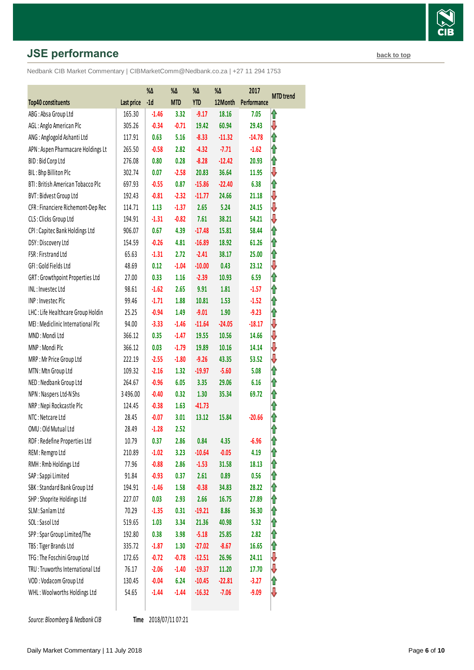# **JSE performance [back to top](#page-0-0) back to top**

Nedbank CIB Market Commentary | CIBMarketComm@Nedbank.co.za | +27 11 294 1753

|                                    |            | %Δ      | $\%\Delta$ | %Δ         | %Δ       | 2017        | <b>MTD</b> trend |
|------------------------------------|------------|---------|------------|------------|----------|-------------|------------------|
| <b>Top40 constituents</b>          | Last price | $-1d$   | <b>MTD</b> | <b>YTD</b> | 12Month  | Performance |                  |
| ABG: Absa Group Ltd                | 165.30     | $-1.46$ | 3.32       | $-9.17$    | 18.16    | 7.05        | Iî               |
| AGL: Anglo American Plc            | 305.26     | $-0.34$ | $-0.71$    | 19.42      | 60.94    | 29.43       | ⇩                |
| ANG: Anglogold Ashanti Ltd         | 117.91     | 0.63    | 5.16       | $-8.33$    | $-11.32$ | $-14.78$    | ⇑                |
| APN: Aspen Pharmacare Holdings Lt  | 265.50     | $-0.58$ | 2.82       | $-4.32$    | $-7.71$  | $-1.62$     | ⇑                |
| BID: Bid Corp Ltd                  | 276.08     | 0.80    | 0.28       | $-8.28$    | $-12.42$ | 20.93       | ⇑                |
| BIL: Bhp Billiton Plc              | 302.74     | 0.07    | $-2.58$    | 20.83      | 36.64    | 11.95       | ⇩                |
| BTI: British American Tobacco Plc  | 697.93     | $-0.55$ | 0.87       | $-15.86$   | $-22.40$ | 6.38        | ⇑                |
| BVT: Bidvest Group Ltd             | 192.43     | $-0.81$ | $-2.32$    | $-11.77$   | 24.66    | 21.18       | ⇩                |
| CFR : Financiere Richemont-Dep Rec | 114.71     | 1.13    | $-1.37$    | 2.65       | 5.24     | 24.15       | ⇓                |
| CLS: Clicks Group Ltd              | 194.91     | $-1.31$ | $-0.82$    | 7.61       | 38.21    | 54.21       | ⇩                |
| CPI: Capitec Bank Holdings Ltd     | 906.07     | 0.67    | 4.39       | $-17.48$   | 15.81    | 58.44       | ⇑                |
| DSY: Discovery Ltd                 | 154.59     | $-0.26$ | 4.81       | $-16.89$   | 18.92    | 61.26       | ⇑                |
| FSR: Firstrand Ltd                 | 65.63      | $-1.31$ | 2.72       | $-2.41$    | 38.17    | 25.00       | ⇑                |
| GFI: Gold Fields Ltd               | 48.69      | 0.12    | $-1.04$    | $-10.00$   | 0.43     | 23.12       | ⇩                |
| GRT: Growthpoint Properties Ltd    | 27.00      | 0.33    | 1.16       | $-2.39$    | 10.93    | 6.59        | ĥ                |
| INL: Investec Ltd                  | 98.61      | $-1.62$ | 2.65       | 9.91       | 1.81     | $-1.57$     | ⇑                |
| INP: Investec Plc                  | 99.46      | $-1.71$ | 1.88       | 10.81      | 1.53     | $-1.52$     | Iî               |
| LHC: Life Healthcare Group Holdin  | 25.25      | $-0.94$ | 1.49       | $-9.01$    | 1.90     | $-9.23$     | ⇑                |
| MEI: Mediclinic International Plc  | 94.00      | $-3.33$ | $-1.46$    | $-11.64$   | $-24.05$ | $-18.17$    | ⇩                |
| MND: Mondi Ltd                     | 366.12     | 0.35    | $-1.47$    | 19.55      | 10.56    | 14.66       | ⇩                |
| MNP: Mondi Plc                     | 366.12     | 0.03    | $-1.79$    | 19.89      | 10.16    | 14.14       | ⇩                |
| MRP: Mr Price Group Ltd            | 222.19     | $-2.55$ | $-1.80$    | $-9.26$    | 43.35    | 53.52       | ⇩                |
| MTN: Mtn Group Ltd                 | 109.32     | $-2.16$ | 1.32       | $-19.97$   | $-5.60$  | 5.08        | ⇑                |
| NED: Nedbank Group Ltd             | 264.67     | $-0.96$ | 6.05       | 3.35       | 29.06    | 6.16        | ⇑                |
| NPN: Naspers Ltd-N Shs             | 3496.00    | $-0.40$ | 0.32       | 1.30       | 35.34    | 69.72       | ⇑                |
| NRP: Nepi Rockcastle Plc           | 124.45     | $-0.38$ | 1.63       | $-41.73$   |          |             | 1                |
| NTC: Netcare Ltd                   | 28.45      | $-0.07$ | 3.01       | 13.12      | 15.84    | $-20.66$    | ⇑                |
| OMU: Old Mutual Ltd                | 28.49      | $-1.28$ | 2.52       |            |          |             |                  |
| RDF: Redefine Properties Ltd       | 10.79      | 0.37    | 2.86       | 0.84       | 4.35     | $-6.96$     | 1                |
| REM: Remgro Ltd                    | 210.89     | $-1.02$ | 3.23       | $-10.64$   | $-0.05$  | 4.19        | ⇑                |
| RMH: Rmb Holdings Ltd              | 77.96      | $-0.88$ | 2.86       | $-1.53$    | 31.58    | 18.13       | ⇑                |
| SAP: Sappi Limited                 | 91.84      | $-0.93$ | 0.37       | 2.61       | 0.89     | 0.56        | ⇑                |
| SBK: Standard Bank Group Ltd       | 194.91     | $-1.46$ | 1.58       | $-0.38$    | 34.83    | 28.22       | ⇑                |
| SHP: Shoprite Holdings Ltd         | 227.07     | 0.03    | 2.93       | 2.66       | 16.75    | 27.89       | ⇑                |
| SLM: Sanlam Ltd                    | 70.29      | $-1.35$ | 0.31       | $-19.21$   | 8.86     | 36.30       | ⇑                |
| SOL: Sasol Ltd                     | 519.65     | 1.03    | 3.34       | 21.36      | 40.98    | 5.32        | ⇑                |
| SPP: Spar Group Limited/The        | 192.80     | 0.38    | 3.98       | $-5.18$    | 25.85    | 2.82        | ⇑                |
| TBS: Tiger Brands Ltd              | 335.72     | $-1.87$ | 1.30       | $-27.02$   | $-8.67$  | 16.65       | ⇑                |
| TFG: The Foschini Group Ltd        | 172.65     | $-0.72$ | $-0.78$    | $-12.51$   | 26.96    | 24.11       | ₩                |
| TRU: Truworths International Ltd   | 76.17      | $-2.06$ | $-1.40$    | $-19.37$   | 11.20    | 17.70       | ⇩                |
| VOD: Vodacom Group Ltd             | 130.45     | $-0.04$ | 6.24       | $-10.45$   | $-22.81$ | $-3.27$     | ⇑                |
| WHL: Woolworths Holdings Ltd       | 54.65      | $-1.44$ | $-1.44$    | $-16.32$   | $-7.06$  | $-9.09$     | ⇩                |
|                                    |            |         |            |            |          |             |                  |

**Source: Bloomberg & Nedbank CIB** 

Time 2018/07/11 07:21

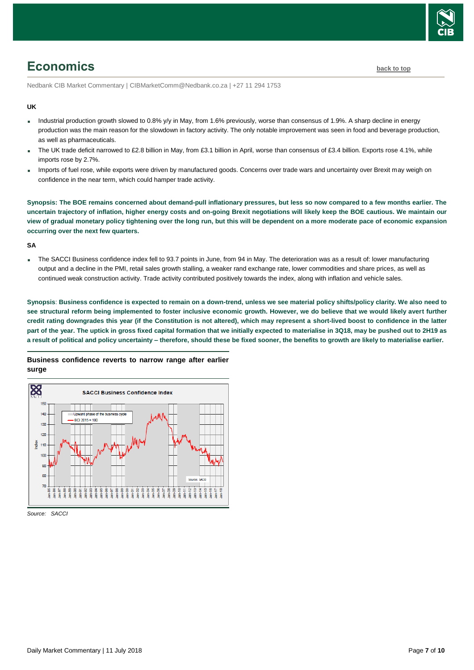

# <span id="page-6-0"></span>**Economics [back to top](#page-0-0)**

Nedbank CIB Market Commentary | CIBMarketComm@Nedbank.co.za | +27 11 294 1753

#### **UK**

- Industrial production growth slowed to 0.8% y/y in May, from 1.6% previously, worse than consensus of 1.9%. A sharp decline in energy production was the main reason for the slowdown in factory activity. The only notable improvement was seen in food and beverage production, as well as pharmaceuticals.
- The UK trade deficit narrowed to £2.8 billion in May, from £3.1 billion in April, worse than consensus of £3.4 billion. Exports rose 4.1%, while imports rose by 2.7%.
- Imports of fuel rose, while exports were driven by manufactured goods. Concerns over trade wars and uncertainty over Brexit may weigh on confidence in the near term, which could hamper trade activity.

**Synopsis: The BOE remains concerned about demand-pull inflationary pressures, but less so now compared to a few months earlier. The uncertain trajectory of inflation, higher energy costs and on-going Brexit negotiations will likely keep the BOE cautious. We maintain our view of gradual monetary policy tightening over the long run, but this will be dependent on a more moderate pace of economic expansion occurring over the next few quarters.**

#### **SA**

 The SACCI Business confidence index fell to 93.7 points in June, from 94 in May. The deterioration was as a result of: lower manufacturing output and a decline in the PMI, retail sales growth stalling, a weaker rand exchange rate, lower commodities and share prices, as well as continued weak construction activity. Trade activity contributed positively towards the index, along with inflation and vehicle sales.

**Synopsis**: **Business confidence is expected to remain on a down-trend, unless we see material policy shifts/policy clarity. We also need to see structural reform being implemented to foster inclusive economic growth. However, we do believe that we would likely avert further credit rating downgrades this year (if the Constitution is not altered), which may represent a short-lived boost to confidence in the latter part of the year. The uptick in gross fixed capital formation that we initially expected to materialise in 3Q18, may be pushed out to 2H19 as a result of political and policy uncertainty – therefore, should these be fixed sooner, the benefits to growth are likely to materialise earlier.** 

#### **Business confidence reverts to narrow range after earlier surge**



*Source: SACCI*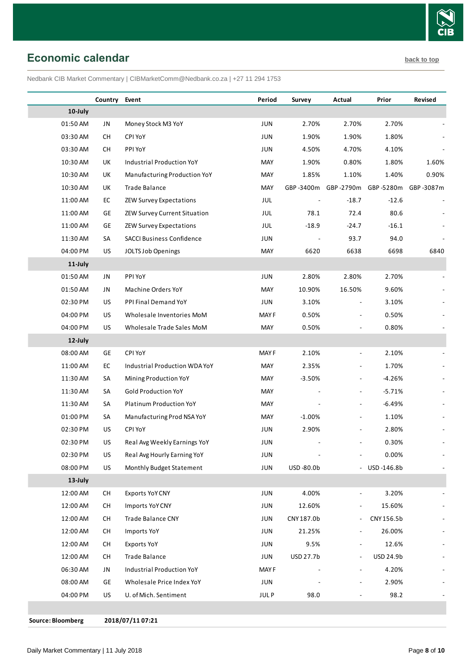

# <span id="page-7-0"></span>**Economic calendar [back to top](#page-0-0)**

Nedbank CIB Market Commentary | CIBMarketComm@Nedbank.co.za | +27 11 294 1753

|          | Country Event |                                     | Period      | Survey     | <b>Actual</b>                | Prior      | Revised   |
|----------|---------------|-------------------------------------|-------------|------------|------------------------------|------------|-----------|
| 10-July  |               |                                     |             |            |                              |            |           |
| 01:50 AM | JN            | Money Stock M3 YoY                  | JUN         | 2.70%      | 2.70%                        | 2.70%      |           |
| 03:30 AM | CH            | CPI YoY                             | JUN         | 1.90%      | 1.90%                        | 1.80%      |           |
| 03:30 AM | <b>CH</b>     | PPI YoY                             | JUN         | 4.50%      | 4.70%                        | 4.10%      |           |
| 10:30 AM | UK            | Industrial Production YoY           | MAY         | 1.90%      | 0.80%                        | 1.80%      | 1.60%     |
| 10:30 AM | UK            | Manufacturing Production YoY        | MAY         | 1.85%      | 1.10%                        | 1.40%      | 0.90%     |
| 10:30 AM | UK            | <b>Trade Balance</b>                | MAY         |            | GBP-3400m GBP-2790m          | GBP-5280m  | GBP-3087m |
| 11:00 AM | EC            | ZEW Survey Expectations             | JUL         |            | $-18.7$                      | $-12.6$    |           |
| 11:00 AM | GE            | <b>ZEW Survey Current Situation</b> | <b>JUL</b>  | 78.1       | 72.4                         | 80.6       |           |
| 11:00 AM | GE            | ZEW Survey Expectations             | <b>JUL</b>  | $-18.9$    | $-24.7$                      | $-16.1$    |           |
| 11:30 AM | SA            | <b>SACCI Business Confidence</b>    | JUN         |            | 93.7                         | 94.0       |           |
| 04:00 PM | US            | JOLTS Job Openings                  | MAY         | 6620       | 6638                         | 6698       | 6840      |
| 11-July  |               |                                     |             |            |                              |            |           |
| 01:50 AM | JN            | PPI YoY                             | <b>JUN</b>  | 2.80%      | 2.80%                        | 2.70%      |           |
| 01:50 AM | JN            | Machine Orders YoY                  | MAY         | 10.90%     | 16.50%                       | 9.60%      |           |
| 02:30 PM | US            | PPI Final Demand YoY                | <b>JUN</b>  | 3.10%      | $\overline{\phantom{a}}$     | 3.10%      |           |
| 04:00 PM | US            | Wholesale Inventories MoM           | <b>MAYF</b> | 0.50%      |                              | 0.50%      |           |
| 04:00 PM | US            | Wholesale Trade Sales MoM           | MAY         | 0.50%      | $\overline{\phantom{a}}$     | 0.80%      |           |
| 12-July  |               |                                     |             |            |                              |            |           |
| 08:00 AM | GE            | CPI YoY                             | <b>MAYF</b> | 2.10%      | $\overline{\phantom{a}}$     | 2.10%      |           |
| 11:00 AM | ${\sf EC}$    | Industrial Production WDA YoY       | MAY         | 2.35%      | $\qquad \qquad \blacksquare$ | 1.70%      |           |
| 11:30 AM | SA            | Mining Production YoY               | MAY         | $-3.50%$   | $\overline{\phantom{m}}$     | $-4.26%$   |           |
| 11:30 AM | SA            | <b>Gold Production YoY</b>          | MAY         |            | $\overline{\phantom{a}}$     | $-5.71%$   |           |
| 11:30 AM | SA            | Platinum Production YoY             | MAY         |            | $\overline{\phantom{a}}$     | $-6.49%$   |           |
| 01:00 PM | SA            | Manufacturing Prod NSA YoY          | MAY         | $-1.00%$   | $\overline{\phantom{a}}$     | 1.10%      |           |
| 02:30 PM | US            | CPI YoY                             | JUN         | 2.90%      |                              | 2.80%      |           |
| 02:30 PM | US            | Real Avg Weekly Earnings YoY        | <b>JUN</b>  |            |                              | 0.30%      |           |
| 02:30 PM | US            | Real Avg Hourly Earning YoY         | JUN         |            |                              | 0.00%      |           |
| 08:00 PM | US            | Monthly Budget Statement            | JUN         | USD-80.0b  | $\blacksquare$               | USD-146.8b |           |
| 13-July  |               |                                     |             |            |                              |            |           |
| 12:00 AM | CH            | <b>Exports YoY CNY</b>              | JUN         | 4.00%      | $\overline{\phantom{a}}$     | 3.20%      |           |
| 12:00 AM | СH            | Imports YoY CNY                     | JUN         | 12.60%     | $\overline{\phantom{a}}$     | 15.60%     |           |
| 12:00 AM | CH            | Trade Balance CNY                   | JUN         | CNY 187.0b | $\blacksquare$               | CNY 156.5b |           |
| 12:00 AM | CH            | <b>Imports YoY</b>                  | JUN         | 21.25%     |                              | 26.00%     |           |
| 12:00 AM | СH            | <b>Exports YoY</b>                  | JUN         | 9.5%       | $\overline{\phantom{a}}$     | 12.6%      |           |
| 12:00 AM | CH            | Trade Balance                       | JUN         | USD 27.7b  | $\overline{\phantom{a}}$     | USD 24.9b  |           |
| 06:30 AM | JN            | Industrial Production YoY           | <b>MAYF</b> |            | $\overline{\phantom{m}}$     | 4.20%      |           |
| 08:00 AM | GE            | Wholesale Price Index YoY           | JUN         |            | $\qquad \qquad \blacksquare$ | 2.90%      |           |
| 04:00 PM | US            | U. of Mich. Sentiment               | JUL P       | 98.0       |                              | 98.2       |           |
|          |               |                                     |             |            |                              |            |           |

**Source: Bloomberg 2018/07/11 07:21**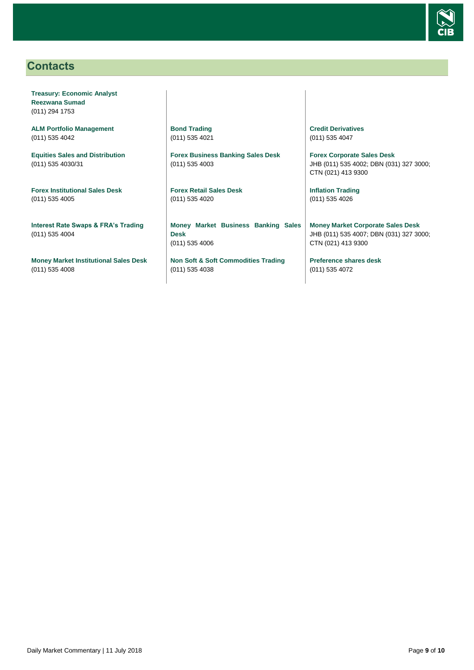

# <span id="page-8-0"></span>**Contacts**

**Treasury: Economic Analyst Reezwana Sumad** (011) 294 1753

**ALM Portfolio Management** (011) 535 4042

**Equities Sales and Distribution** (011) 535 4030/31

**Forex Institutional Sales Desk** (011) 535 4005

**Interest Rate Swaps & FRA's Trading** (011) 535 4004

**Money Market Institutional Sales Desk** (011) 535 4008

**Bond Trading** (011) 535 4021

**Forex Business Banking Sales Desk** (011) 535 4003

**Forex Retail Sales Desk** (011) 535 4020

**Money Market Business Banking Sales Desk** (011) 535 4006

**Non Soft & Soft Commodities Trading** (011) 535 4038

**Credit Derivatives**  (011) 535 4047

**Forex Corporate Sales Desk** JHB (011) 535 4002; DBN (031) 327 3000; CTN (021) 413 9300

**Inflation Trading** (011) 535 4026

**Money Market Corporate Sales Desk** JHB (011) 535 4007; DBN (031) 327 3000; CTN (021) 413 9300

**Preference shares desk** (011) 535 4072